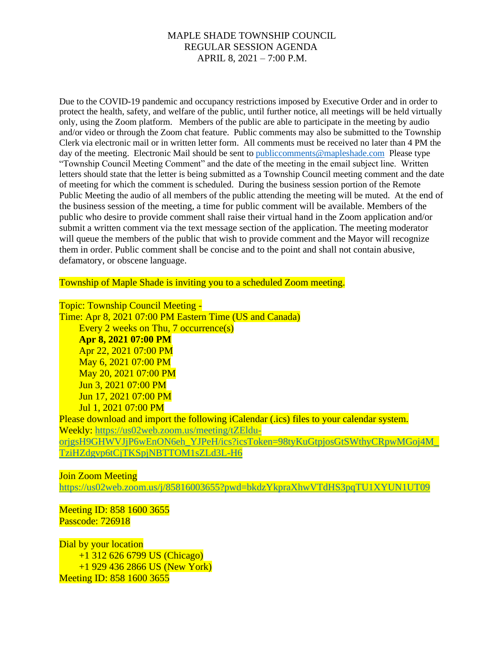Due to the COVID-19 pandemic and occupancy restrictions imposed by Executive Order and in order to protect the health, safety, and welfare of the public, until further notice, all meetings will be held virtually only, using the Zoom platform. Members of the public are able to participate in the meeting by audio and/or video or through the Zoom chat feature. Public comments may also be submitted to the Township Clerk via electronic mail or in written letter form. All comments must be received no later than 4 PM the day of the meeting. Electronic Mail should be sent to public comments@mapleshade.com Please type "Township Council Meeting Comment" and the date of the meeting in the email subject line. Written letters should state that the letter is being submitted as a Township Council meeting comment and the date of meeting for which the comment is scheduled. During the business session portion of the Remote Public Meeting the audio of all members of the public attending the meeting will be muted. At the end of the business session of the meeting, a time for public comment will be available. Members of the public who desire to provide comment shall raise their virtual hand in the Zoom application and/or submit a written comment via the text message section of the application. The meeting moderator will queue the members of the public that wish to provide comment and the Mayor will recognize them in order. Public comment shall be concise and to the point and shall not contain abusive, defamatory, or obscene language.

Township of Maple Shade is inviting you to a scheduled Zoom meeting.

Topic: Township Council Meeting -

Time: Apr 8, 2021 07:00 PM Eastern Time (US and Canada) Every 2 weeks on Thu, 7 occurrence(s) **Apr 8, 2021 07:00 PM** Apr 22, 2021 07:00 PM May 6, 2021 07:00 PM May 20, 2021 07:00 PM Jun 3, 2021 07:00 PM Jun 17, 2021 07:00 PM Jul 1, 2021 07:00 PM

Please download and import the following iCalendar (.ics) files to your calendar system. Weekly: [https://us02web.zoom.us/meeting/tZEldu](https://us02web.zoom.us/meeting/tZEldu-orjgsH9GHWVJjP6wEnON6eh_YJPeH/ics?icsToken=98tyKuGtpjosGtSWthyCRpwMGoj4M_TziHZdgvp6tCjTKSpjNBTTOM1sZLd3L-H6)[orjgsH9GHWVJjP6wEnON6eh\\_YJPeH/ics?icsToken=98tyKuGtpjosGtSWthyCRpwMGoj4M\\_](https://us02web.zoom.us/meeting/tZEldu-orjgsH9GHWVJjP6wEnON6eh_YJPeH/ics?icsToken=98tyKuGtpjosGtSWthyCRpwMGoj4M_TziHZdgvp6tCjTKSpjNBTTOM1sZLd3L-H6) [TziHZdgvp6tCjTKSpjNBTTOM1sZLd3L-H6](https://us02web.zoom.us/meeting/tZEldu-orjgsH9GHWVJjP6wEnON6eh_YJPeH/ics?icsToken=98tyKuGtpjosGtSWthyCRpwMGoj4M_TziHZdgvp6tCjTKSpjNBTTOM1sZLd3L-H6)

Join Zoom Meeting

<https://us02web.zoom.us/j/85816003655?pwd=bkdzYkpraXhwVTdHS3pqTU1XYUN1UT09>

Meeting ID: 858 1600 3655 Passcode: 726918

Dial by your location +1 312 626 6799 US (Chicago) +1 929 436 2866 US (New York) Meeting ID: 858 1600 3655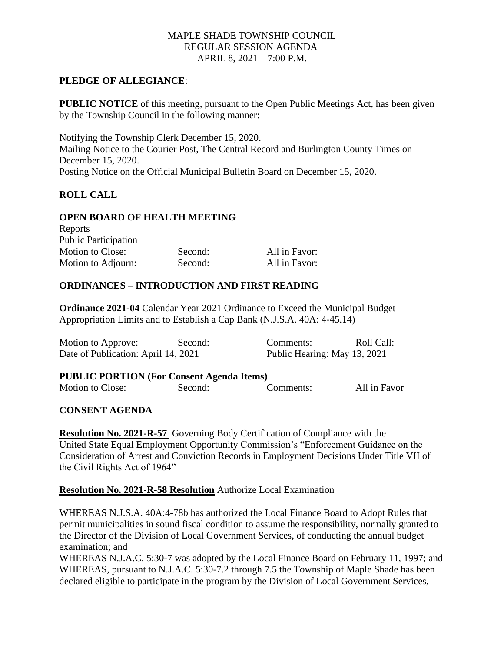# **PLEDGE OF ALLEGIANCE**:

**PUBLIC NOTICE** of this meeting, pursuant to the Open Public Meetings Act, has been given by the Township Council in the following manner:

Notifying the Township Clerk December 15, 2020. Mailing Notice to the Courier Post, The Central Record and Burlington County Times on December 15, 2020. Posting Notice on the Official Municipal Bulletin Board on December 15, 2020.

# **ROLL CALL**

 $D$ onorts

# **OPEN BOARD OF HEALTH MEETING**

| <b>REPOLIS</b>              |         |               |
|-----------------------------|---------|---------------|
| <b>Public Participation</b> |         |               |
| Motion to Close:            | Second: | All in Favor: |
| Motion to Adjourn:          | Second: | All in Favor: |

# **ORDINANCES – INTRODUCTION AND FIRST READING**

**Ordinance 2021-04** Calendar Year 2021 Ordinance to Exceed the Municipal Budget Appropriation Limits and to Establish a Cap Bank (N.J.S.A. 40A: 4-45.14)

| Motion to Approve:                  | Second: | Comments:                    | Roll Call: |
|-------------------------------------|---------|------------------------------|------------|
| Date of Publication: April 14, 2021 |         | Public Hearing: May 13, 2021 |            |

#### **PUBLIC PORTION (For Consent Agenda Items)** Motion to Close: Second: Comments: All in Favor

### **CONSENT AGENDA**

**Resolution No. 2021-R-57** Governing Body Certification of Compliance with the United State Equal Employment Opportunity Commission's "Enforcement Guidance on the Consideration of Arrest and Conviction Records in Employment Decisions Under Title VII of the Civil Rights Act of 1964"

#### **Resolution No. 2021-R-58 Resolution** Authorize Local Examination

WHEREAS N.J.S.A. 40A:4-78b has authorized the Local Finance Board to Adopt Rules that permit municipalities in sound fiscal condition to assume the responsibility, normally granted to the Director of the Division of Local Government Services, of conducting the annual budget examination; and

WHEREAS N.J.A.C. 5:30-7 was adopted by the Local Finance Board on February 11, 1997; and WHEREAS, pursuant to N.J.A.C. 5:30-7.2 through 7.5 the Township of Maple Shade has been declared eligible to participate in the program by the Division of Local Government Services,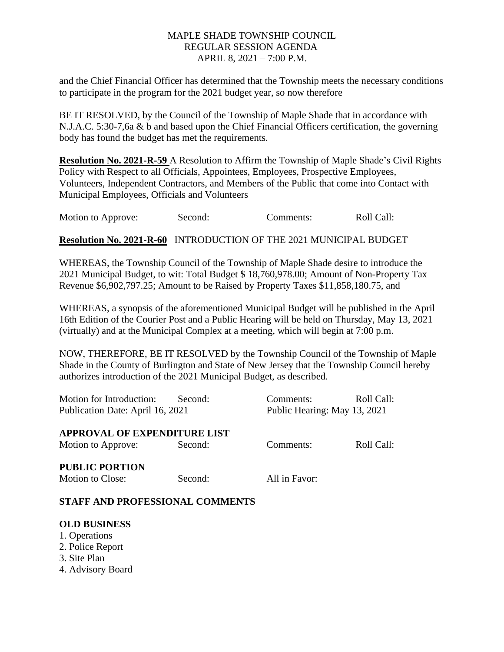and the Chief Financial Officer has determined that the Township meets the necessary conditions to participate in the program for the 2021 budget year, so now therefore

BE IT RESOLVED, by the Council of the Township of Maple Shade that in accordance with N.J.A.C. 5:30-7,6a & b and based upon the Chief Financial Officers certification, the governing body has found the budget has met the requirements.

**Resolution No. 2021-R-59** A Resolution to Affirm the Township of Maple Shade's Civil Rights Policy with Respect to all Officials, Appointees, Employees, Prospective Employees, Volunteers, Independent Contractors, and Members of the Public that come into Contact with Municipal Employees, Officials and Volunteers

Motion to Approve: Second: Comments: Roll Call:

**Resolution No. 2021-R-60** INTRODUCTION OF THE 2021 MUNICIPAL BUDGET

WHEREAS, the Township Council of the Township of Maple Shade desire to introduce the 2021 Municipal Budget, to wit: Total Budget \$ 18,760,978.00; Amount of Non-Property Tax Revenue \$6,902,797.25; Amount to be Raised by Property Taxes \$11,858,180.75, and

WHEREAS, a synopsis of the aforementioned Municipal Budget will be published in the April 16th Edition of the Courier Post and a Public Hearing will be held on Thursday, May 13, 2021 (virtually) and at the Municipal Complex at a meeting, which will begin at 7:00 p.m.

NOW, THEREFORE, BE IT RESOLVED by the Township Council of the Township of Maple Shade in the County of Burlington and State of New Jersey that the Township Council hereby authorizes introduction of the 2021 Municipal Budget, as described.

| Motion for Introduction:            | Second: | Comments:                    | Roll Call: |  |
|-------------------------------------|---------|------------------------------|------------|--|
| Publication Date: April 16, 2021    |         | Public Hearing: May 13, 2021 |            |  |
| <b>APPROVAL OF EXPENDITURE LIST</b> |         |                              |            |  |
| Motion to Approve:                  | Second: | Comments:                    | Roll Call: |  |
| <b>PUBLIC PORTION</b>               |         |                              |            |  |
| Motion to Close:                    | Second: | All in Favor:                |            |  |

# **STAFF AND PROFESSIONAL COMMENTS**

# **OLD BUSINESS**

- 1. Operations
- 2. Police Report
- 3. Site Plan
- 4. Advisory Board